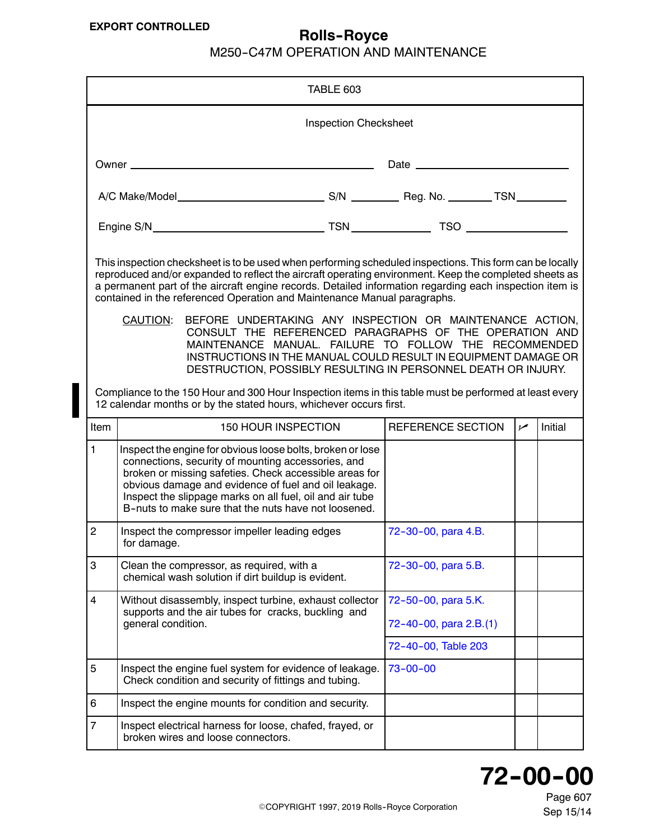<span id="page-0-0"></span>

|                                                                                                                                                                                                                                                                                                                                                                                                                                                                                                                                                                                                                                                                                                                                                | TABLE 603                                                                                                                                                                                                                                                                                                                                                                                                                                                                                                                                             |  |                                               |                |         |  |
|------------------------------------------------------------------------------------------------------------------------------------------------------------------------------------------------------------------------------------------------------------------------------------------------------------------------------------------------------------------------------------------------------------------------------------------------------------------------------------------------------------------------------------------------------------------------------------------------------------------------------------------------------------------------------------------------------------------------------------------------|-------------------------------------------------------------------------------------------------------------------------------------------------------------------------------------------------------------------------------------------------------------------------------------------------------------------------------------------------------------------------------------------------------------------------------------------------------------------------------------------------------------------------------------------------------|--|-----------------------------------------------|----------------|---------|--|
| <b>Inspection Checksheet</b>                                                                                                                                                                                                                                                                                                                                                                                                                                                                                                                                                                                                                                                                                                                   |                                                                                                                                                                                                                                                                                                                                                                                                                                                                                                                                                       |  |                                               |                |         |  |
|                                                                                                                                                                                                                                                                                                                                                                                                                                                                                                                                                                                                                                                                                                                                                | Date $\frac{1}{\sqrt{1-\frac{1}{2}}\sqrt{1-\frac{1}{2}}\sqrt{1-\frac{1}{2}}\sqrt{1-\frac{1}{2}}\sqrt{1-\frac{1}{2}}\sqrt{1-\frac{1}{2}}\sqrt{1-\frac{1}{2}}\sqrt{1-\frac{1}{2}}\sqrt{1-\frac{1}{2}}\sqrt{1-\frac{1}{2}}\sqrt{1-\frac{1}{2}}\sqrt{1-\frac{1}{2}}\sqrt{1-\frac{1}{2}}\sqrt{1-\frac{1}{2}}\sqrt{1-\frac{1}{2}}\sqrt{1-\frac{1}{2}}\sqrt{1-\frac{1}{2}}\sqrt{1-\frac{1}{2}}\sqrt{1-\frac{1}{2}}\$<br>Owner $\_\_$<br><u> 1989 - Johann Stein, marwolaethau a bhann an t-Amhair an t-Amhair an t-Amhair an t-Amhair an t-Amhair an t-A</u> |  |                                               |                |         |  |
|                                                                                                                                                                                                                                                                                                                                                                                                                                                                                                                                                                                                                                                                                                                                                |                                                                                                                                                                                                                                                                                                                                                                                                                                                                                                                                                       |  |                                               |                |         |  |
|                                                                                                                                                                                                                                                                                                                                                                                                                                                                                                                                                                                                                                                                                                                                                |                                                                                                                                                                                                                                                                                                                                                                                                                                                                                                                                                       |  |                                               |                |         |  |
| This inspection checksheet is to be used when performing scheduled inspections. This form can be locally<br>reproduced and/or expanded to reflect the aircraft operating environment. Keep the completed sheets as<br>a permanent part of the aircraft engine records. Detailed information regarding each inspection item is<br>contained in the referenced Operation and Maintenance Manual paragraphs.<br><b>CAUTION:</b><br>BEFORE UNDERTAKING ANY INSPECTION OR MAINTENANCE ACTION,<br>CONSULT THE REFERENCED PARAGRAPHS OF THE OPERATION AND<br>MAINTENANCE MANUAL. FAILURE TO FOLLOW THE RECOMMENDED<br>INSTRUCTIONS IN THE MANUAL COULD RESULT IN EQUIPMENT DAMAGE OR<br>DESTRUCTION, POSSIBLY RESULTING IN PERSONNEL DEATH OR INJURY. |                                                                                                                                                                                                                                                                                                                                                                                                                                                                                                                                                       |  |                                               |                |         |  |
|                                                                                                                                                                                                                                                                                                                                                                                                                                                                                                                                                                                                                                                                                                                                                | Compliance to the 150 Hour and 300 Hour Inspection items in this table must be performed at least every<br>12 calendar months or by the stated hours, whichever occurs first.                                                                                                                                                                                                                                                                                                                                                                         |  |                                               |                |         |  |
| Item                                                                                                                                                                                                                                                                                                                                                                                                                                                                                                                                                                                                                                                                                                                                           | <b>150 HOUR INSPECTION</b>                                                                                                                                                                                                                                                                                                                                                                                                                                                                                                                            |  | REFERENCE SECTION                             | $\overline{v}$ | Initial |  |
| $\mathbf{1}$                                                                                                                                                                                                                                                                                                                                                                                                                                                                                                                                                                                                                                                                                                                                   | Inspect the engine for obvious loose bolts, broken or lose<br>connections, security of mounting accessories, and<br>broken or missing safeties. Check accessible areas for<br>obvious damage and evidence of fuel and oil leakage.<br>Inspect the slippage marks on all fuel, oil and air tube<br>B-nuts to make sure that the nuts have not loosened.                                                                                                                                                                                                |  |                                               |                |         |  |
| $\overline{c}$                                                                                                                                                                                                                                                                                                                                                                                                                                                                                                                                                                                                                                                                                                                                 | Inspect the compressor impeller leading edges<br>for damage.                                                                                                                                                                                                                                                                                                                                                                                                                                                                                          |  | 72-30-00, para 4.B.                           |                |         |  |
| 3                                                                                                                                                                                                                                                                                                                                                                                                                                                                                                                                                                                                                                                                                                                                              | Clean the compressor, as required, with a<br>chemical wash solution if dirt buildup is evident.                                                                                                                                                                                                                                                                                                                                                                                                                                                       |  | 72-30-00, para 5.B.                           |                |         |  |
| $\overline{\mathbf{4}}$                                                                                                                                                                                                                                                                                                                                                                                                                                                                                                                                                                                                                                                                                                                        | Without disassembly, inspect turbine, exhaust collector<br>supports and the air tubes for cracks, buckling and<br>general condition.                                                                                                                                                                                                                                                                                                                                                                                                                  |  | 72-50-00, para 5.K.<br>72-40-00, para 2.B.(1) |                |         |  |
| 5                                                                                                                                                                                                                                                                                                                                                                                                                                                                                                                                                                                                                                                                                                                                              | Inspect the engine fuel system for evidence of leakage.<br>Check condition and security of fittings and tubing.                                                                                                                                                                                                                                                                                                                                                                                                                                       |  | 72-40-00, Table 203<br>$73 - 00 - 00$         |                |         |  |
| 6                                                                                                                                                                                                                                                                                                                                                                                                                                                                                                                                                                                                                                                                                                                                              | Inspect the engine mounts for condition and security.                                                                                                                                                                                                                                                                                                                                                                                                                                                                                                 |  |                                               |                |         |  |
| $\overline{7}$                                                                                                                                                                                                                                                                                                                                                                                                                                                                                                                                                                                                                                                                                                                                 | Inspect electrical harness for loose, chafed, frayed, or<br>broken wires and loose connectors.                                                                                                                                                                                                                                                                                                                                                                                                                                                        |  |                                               |                |         |  |

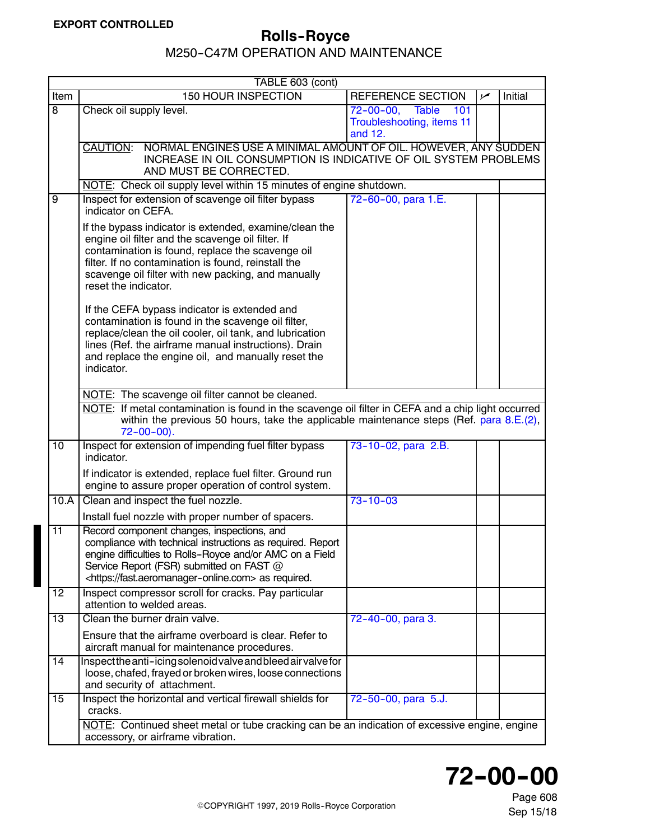<span id="page-1-0"></span>

|                 | TABLE 603 (cont)                                                                                                                                                                                                                                                                                     |                                                                   |     |         |  |  |
|-----------------|------------------------------------------------------------------------------------------------------------------------------------------------------------------------------------------------------------------------------------------------------------------------------------------------------|-------------------------------------------------------------------|-----|---------|--|--|
| Item            | 150 HOUR INSPECTION                                                                                                                                                                                                                                                                                  | <b>REFERENCE SECTION</b>                                          | سما | Initial |  |  |
| $\overline{8}$  | Check oil supply level.                                                                                                                                                                                                                                                                              | 72-00-00, Table<br>$-101$<br>Troubleshooting, items 11<br>and 12. |     |         |  |  |
|                 | NORMAL ENGINES USE A MINIMAL AMOUNT OF OIL. HOWEVER, ANY SUDDEN<br><b>CAUTION:</b><br>INCREASE IN OIL CONSUMPTION IS INDICATIVE OF OIL SYSTEM PROBLEMS<br>AND MUST BE CORRECTED.                                                                                                                     |                                                                   |     |         |  |  |
|                 | NOTE: Check oil supply level within 15 minutes of engine shutdown.                                                                                                                                                                                                                                   |                                                                   |     |         |  |  |
| $\overline{9}$  | Inspect for extension of scavenge oil filter bypass<br>indicator on CEFA.                                                                                                                                                                                                                            | 72-60-00, para 1.E.                                               |     |         |  |  |
|                 | If the bypass indicator is extended, examine/clean the<br>engine oil filter and the scavenge oil filter. If<br>contamination is found, replace the scavenge oil<br>filter. If no contamination is found, reinstall the<br>scavenge oil filter with new packing, and manually<br>reset the indicator. |                                                                   |     |         |  |  |
|                 | If the CEFA bypass indicator is extended and<br>contamination is found in the scavenge oil filter,<br>replace/clean the oil cooler, oil tank, and lubrication<br>lines (Ref. the airframe manual instructions). Drain<br>and replace the engine oil, and manually reset the<br>indicator.            |                                                                   |     |         |  |  |
|                 | NOTE: The scavenge oil filter cannot be cleaned.                                                                                                                                                                                                                                                     |                                                                   |     |         |  |  |
|                 | NOTE: If metal contamination is found in the scavenge oil filter in CEFA and a chip light occurred<br>within the previous 50 hours, take the applicable maintenance steps (Ref. para $8.E.(2)$ ,<br>$72 - 00 - 00$ ).                                                                                |                                                                   |     |         |  |  |
| 10              | Inspect for extension of impending fuel filter bypass<br>indicator.                                                                                                                                                                                                                                  | 73-10-02, para 2.B.                                               |     |         |  |  |
|                 | If indicator is extended, replace fuel filter. Ground run<br>engine to assure proper operation of control system.                                                                                                                                                                                    |                                                                   |     |         |  |  |
| 10.A            | Clean and inspect the fuel nozzle.                                                                                                                                                                                                                                                                   | $73 - 10 - 03$                                                    |     |         |  |  |
|                 | Install fuel nozzle with proper number of spacers.                                                                                                                                                                                                                                                   |                                                                   |     |         |  |  |
| $\overline{11}$ | Record component changes, inspections, and<br>compliance with technical instructions as required. Report<br>engine difficulties to Rolls-Royce and/or AMC on a Field<br>Service Report (FSR) submitted on FAST @<br><https: fast.aeromanager-online.com=""> as required.</https:>                    |                                                                   |     |         |  |  |
| 12              | Inspect compressor scroll for cracks. Pay particular<br>attention to welded areas.                                                                                                                                                                                                                   |                                                                   |     |         |  |  |
| 13              | Clean the burner drain valve.                                                                                                                                                                                                                                                                        | 72-40-00, para 3.                                                 |     |         |  |  |
|                 | Ensure that the airframe overboard is clear. Refer to<br>aircraft manual for maintenance procedures.                                                                                                                                                                                                 |                                                                   |     |         |  |  |
| 14              | Inspectthe anti-icing solenoid valve and bleed air valve for<br>loose, chafed, frayed or broken wires, loose connections<br>and security of attachment.                                                                                                                                              |                                                                   |     |         |  |  |
| $\overline{15}$ | Inspect the horizontal and vertical firewall shields for<br>cracks.                                                                                                                                                                                                                                  | 72-50-00, para 5.J.                                               |     |         |  |  |
|                 | NOTE: Continued sheet metal or tube cracking can be an indication of excessive engine, engine<br>accessory, or airframe vibration.                                                                                                                                                                   |                                                                   |     |         |  |  |

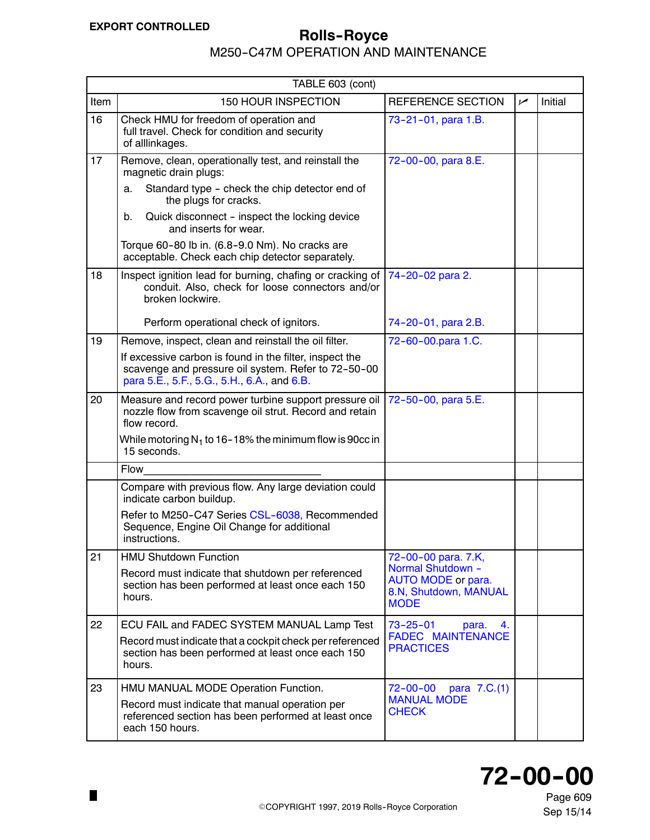$\blacksquare$ 

# <span id="page-2-0"></span>**EXPORT CONTROLLED ROLLED** Rolls-Royce

|      | TABLE 603 (cont)                                                                                                                                              |                                                                                 |     |         |
|------|---------------------------------------------------------------------------------------------------------------------------------------------------------------|---------------------------------------------------------------------------------|-----|---------|
| Item | 150 HOUR INSPECTION                                                                                                                                           | <b>REFERENCE SECTION</b>                                                        | مما | Initial |
| 16   | Check HMU for freedom of operation and<br>full travel. Check for condition and security<br>of alllinkages.                                                    | 73-21-01, para 1.B.                                                             |     |         |
| 17   | Remove, clean, operationally test, and reinstall the<br>magnetic drain plugs:                                                                                 | 72-00-00, para 8.E.                                                             |     |         |
|      | Standard type - check the chip detector end of<br>a.<br>the plugs for cracks.                                                                                 |                                                                                 |     |         |
|      | Quick disconnect - inspect the locking device<br>b.<br>and inserts for wear.                                                                                  |                                                                                 |     |         |
|      | Torque 60-80 lb in. (6.8-9.0 Nm). No cracks are<br>acceptable. Check each chip detector separately.                                                           |                                                                                 |     |         |
| 18   | Inspect ignition lead for burning, chafing or cracking of<br>conduit. Also, check for loose connectors and/or<br>broken lockwire.                             | 74-20-02 para 2.                                                                |     |         |
|      | Perform operational check of ignitors.                                                                                                                        | 74-20-01, para 2.B.                                                             |     |         |
| 19   | Remove, inspect, clean and reinstall the oil filter.                                                                                                          | 72-60-00.para 1.C.                                                              |     |         |
|      | If excessive carbon is found in the filter, inspect the<br>scavenge and pressure oil system. Refer to 72-50-00<br>para 5.E., 5.F., 5.G., 5.H., 6.A., and 6.B. |                                                                                 |     |         |
| 20   | Measure and record power turbine support pressure oil<br>nozzle flow from scavenge oil strut. Record and retain<br>flow record.                               | 72-50-00, para 5.E.                                                             |     |         |
|      | While motoring $N_1$ to 16–18% the minimum flow is 90cc in<br>15 seconds.                                                                                     |                                                                                 |     |         |
|      | Flow                                                                                                                                                          |                                                                                 |     |         |
|      | Compare with previous flow. Any large deviation could<br>indicate carbon buildup.                                                                             |                                                                                 |     |         |
|      | Refer to M250-C47 Series CSL-6038, Recommended<br>Sequence, Engine Oil Change for additional<br>instructions.                                                 |                                                                                 |     |         |
| 21   | <b>HMU Shutdown Function</b>                                                                                                                                  | 72-00-00 para. 7.K,                                                             |     |         |
|      | Record must indicate that shutdown per referenced<br>section has been performed at least once each 150<br>hours.                                              | Normal Shutdown -<br>AUTO MODE or para.<br>8.N, Shutdown, MANUAL<br><b>MODE</b> |     |         |
| 22   | ECU FAIL and FADEC SYSTEM MANUAL Lamp Test                                                                                                                    | $73 - 25 - 01$<br>4.<br>para.                                                   |     |         |
|      | Record must indicate that a cockpit check per referenced<br>section has been performed at least once each 150<br>hours.                                       | <b>FADEC MAINTENANCE</b><br><b>PRACTICES</b>                                    |     |         |
| 23   | HMU MANUAL MODE Operation Function.                                                                                                                           | $72 - 00 - 00$<br>para 7.C.(1)                                                  |     |         |
|      | Record must indicate that manual operation per<br>referenced section has been performed at least once<br>each 150 hours.                                      | <b>MANUAL MODE</b><br><b>CHECK</b>                                              |     |         |

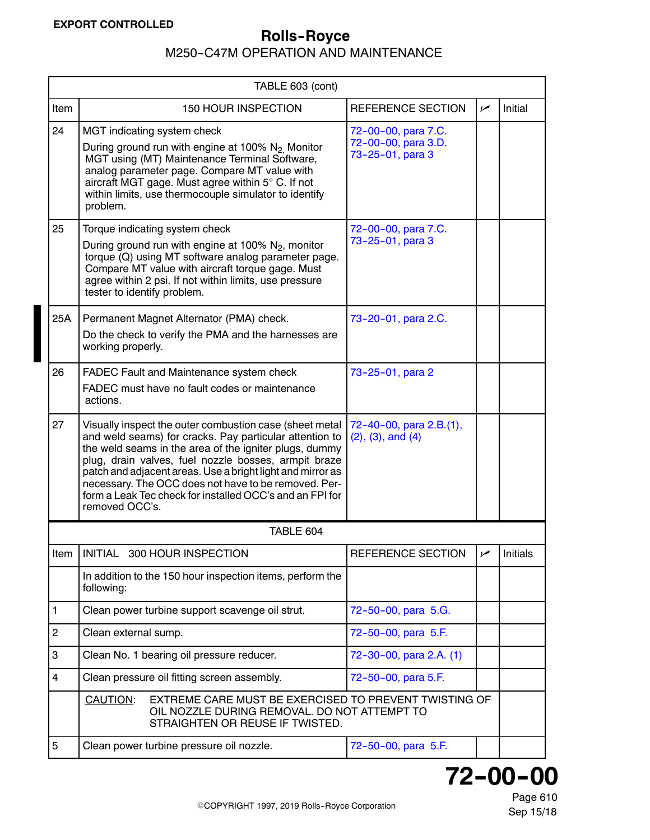<span id="page-3-0"></span>

| TABLE 603 (cont) |                                                                                                                                                                                                                                                                                                                                                                                                                                          |                                                                |                |          |  |
|------------------|------------------------------------------------------------------------------------------------------------------------------------------------------------------------------------------------------------------------------------------------------------------------------------------------------------------------------------------------------------------------------------------------------------------------------------------|----------------------------------------------------------------|----------------|----------|--|
| Item             | <b>150 HOUR INSPECTION</b>                                                                                                                                                                                                                                                                                                                                                                                                               | <b>REFERENCE SECTION</b>                                       | سما            | Initial  |  |
| 24               | MGT indicating system check<br>During ground run with engine at 100% N <sub>2</sub> Monitor<br>MGT using (MT) Maintenance Terminal Software,<br>analog parameter page. Compare MT value with<br>aircraft MGT gage. Must agree within 5° C. If not<br>within limits, use thermocouple simulator to identify<br>problem.                                                                                                                   | 72-00-00, para 7.C.<br>72-00-00, para 3.D.<br>73-25-01, para 3 |                |          |  |
| 25               | Torque indicating system check<br>During ground run with engine at 100% $N_2$ , monitor<br>torque (Q) using MT software analog parameter page.<br>Compare MT value with aircraft torque gage. Must<br>agree within 2 psi. If not within limits, use pressure<br>tester to identify problem.                                                                                                                                              | 72-00-00, para 7.C.<br>73-25-01, para 3                        |                |          |  |
| 25A              | Permanent Magnet Alternator (PMA) check.<br>Do the check to verify the PMA and the harnesses are<br>working properly.                                                                                                                                                                                                                                                                                                                    | 73-20-01, para 2.C.                                            |                |          |  |
| 26               | FADEC Fault and Maintenance system check<br>FADEC must have no fault codes or maintenance<br>actions.                                                                                                                                                                                                                                                                                                                                    | 73-25-01, para 2                                               |                |          |  |
| 27               | Visually inspect the outer combustion case (sheet metal<br>and weld seams) for cracks. Pay particular attention to<br>the weld seams in the area of the igniter plugs, dummy<br>plug, drain valves, fuel nozzle bosses, armpit braze<br>patch and adjacent areas. Use a bright light and mirror as<br>necessary. The OCC does not have to be removed. Per-<br>form a Leak Tec check for installed OCC's and an FPI for<br>removed OCC's. | 72-40-00, para 2.B.(1),<br>$(2)$ , $(3)$ , and $(4)$           |                |          |  |
|                  | TABLE 604                                                                                                                                                                                                                                                                                                                                                                                                                                |                                                                |                |          |  |
| ltem             | INITIAL 300 HOUR INSPECTION                                                                                                                                                                                                                                                                                                                                                                                                              | REFERENCE SECTION                                              | $\overline{v}$ | Initials |  |
|                  | In addition to the 150 hour inspection items, perform the<br>following:                                                                                                                                                                                                                                                                                                                                                                  |                                                                |                |          |  |
| $\mathbf{1}$     | Clean power turbine support scavenge oil strut.                                                                                                                                                                                                                                                                                                                                                                                          | 72-50-00, para 5.G.                                            |                |          |  |
| $\overline{2}$   | Clean external sump.                                                                                                                                                                                                                                                                                                                                                                                                                     | 72-50-00, para 5.F.                                            |                |          |  |
| 3                | Clean No. 1 bearing oil pressure reducer.                                                                                                                                                                                                                                                                                                                                                                                                | 72-30-00, para 2.A. (1)                                        |                |          |  |
| $\overline{4}$   | Clean pressure oil fitting screen assembly.                                                                                                                                                                                                                                                                                                                                                                                              | 72-50-00, para 5.F.                                            |                |          |  |
|                  | EXTREME CARE MUST BE EXERCISED TO PREVENT TWISTING OF<br>CAUTION:<br>OIL NOZZLE DURING REMOVAL. DO NOT ATTEMPT TO<br>STRAIGHTEN OR REUSE IF TWISTED.                                                                                                                                                                                                                                                                                     |                                                                |                |          |  |
| 5                | Clean power turbine pressure oil nozzle.                                                                                                                                                                                                                                                                                                                                                                                                 | 72-50-00, para 5.F.                                            |                |          |  |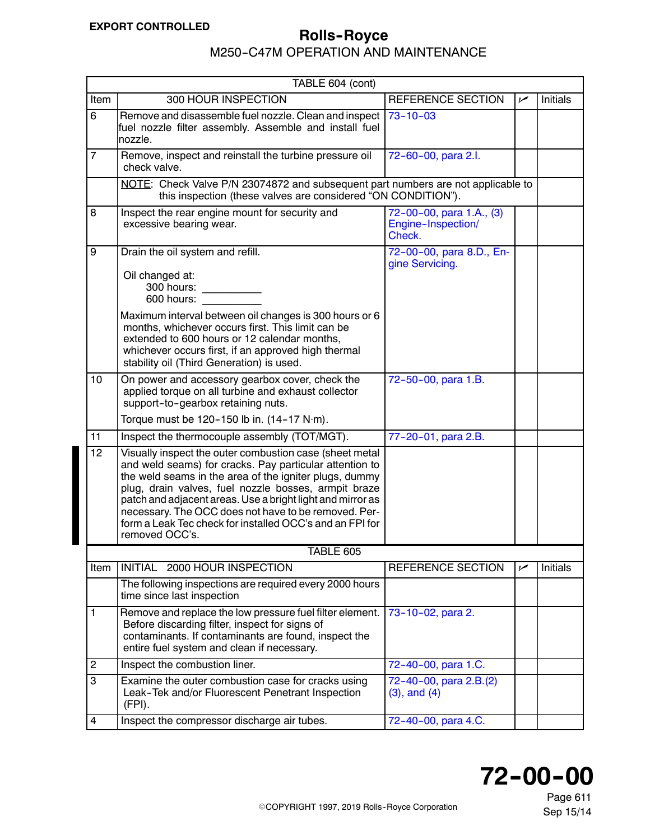M250-C47M OPERATION AND MAINTENANCE

<span id="page-4-0"></span>

| TABLE 604 (cont)        |                                                                                                                                                                                                                                                                                                                                                                                                                                          |                                                          |     |          |  |
|-------------------------|------------------------------------------------------------------------------------------------------------------------------------------------------------------------------------------------------------------------------------------------------------------------------------------------------------------------------------------------------------------------------------------------------------------------------------------|----------------------------------------------------------|-----|----------|--|
| Item                    | 300 HOUR INSPECTION                                                                                                                                                                                                                                                                                                                                                                                                                      | REFERENCE SECTION                                        | مما | Initials |  |
| $\overline{6}$          | Remove and disassemble fuel nozzle. Clean and inspect<br>fuel nozzle filter assembly. Assemble and install fuel<br>nozzle.                                                                                                                                                                                                                                                                                                               | $73 - 10 - 03$                                           |     |          |  |
| $\overline{7}$          | Remove, inspect and reinstall the turbine pressure oil<br>check valve.                                                                                                                                                                                                                                                                                                                                                                   | 72-60-00, para 2.l.                                      |     |          |  |
|                         | NOTE: Check Valve P/N 23074872 and subsequent part numbers are not applicable to<br>this inspection (these valves are considered "ON CONDITION").                                                                                                                                                                                                                                                                                        |                                                          |     |          |  |
| 8                       | Inspect the rear engine mount for security and<br>excessive bearing wear.                                                                                                                                                                                                                                                                                                                                                                | 72-00-00, para 1.A., (3)<br>Engine-Inspection/<br>Check. |     |          |  |
| 9                       | Drain the oil system and refill.                                                                                                                                                                                                                                                                                                                                                                                                         | 72-00-00, para 8.D., En-                                 |     |          |  |
|                         | Oil changed at:<br>300 hours:<br>600 hours:<br>Maximum interval between oil changes is 300 hours or 6                                                                                                                                                                                                                                                                                                                                    | gine Servicing.                                          |     |          |  |
|                         | months, whichever occurs first. This limit can be<br>extended to 600 hours or 12 calendar months,<br>whichever occurs first, if an approved high thermal<br>stability oil (Third Generation) is used.                                                                                                                                                                                                                                    |                                                          |     |          |  |
| 10                      | On power and accessory gearbox cover, check the<br>applied torque on all turbine and exhaust collector<br>support-to-gearbox retaining nuts.                                                                                                                                                                                                                                                                                             | 72-50-00, para 1.B.                                      |     |          |  |
|                         | Torque must be 120-150 lb in. (14-17 N·m).                                                                                                                                                                                                                                                                                                                                                                                               |                                                          |     |          |  |
| 11                      | Inspect the thermocouple assembly (TOT/MGT).                                                                                                                                                                                                                                                                                                                                                                                             | 77-20-01, para 2.B.                                      |     |          |  |
| 12 <sub>2</sub>         | Visually inspect the outer combustion case (sheet metal<br>and weld seams) for cracks. Pay particular attention to<br>the weld seams in the area of the igniter plugs, dummy<br>plug, drain valves, fuel nozzle bosses, armpit braze<br>patch and adjacent areas. Use a bright light and mirror as<br>necessary. The OCC does not have to be removed. Per-<br>form a Leak Tec check for installed OCC's and an FPI for<br>removed OCC's. |                                                          |     |          |  |
|                         | TABLE 605                                                                                                                                                                                                                                                                                                                                                                                                                                |                                                          |     |          |  |
| Item                    | INITIAL 2000 HOUR INSPECTION                                                                                                                                                                                                                                                                                                                                                                                                             | REFERENCE SECTION                                        | سما | Initials |  |
|                         | The following inspections are required every 2000 hours<br>time since last inspection                                                                                                                                                                                                                                                                                                                                                    |                                                          |     |          |  |
| 1                       | Remove and replace the low pressure fuel filter element.<br>Before discarding filter, inspect for signs of<br>contaminants. If contaminants are found, inspect the<br>entire fuel system and clean if necessary.                                                                                                                                                                                                                         | 73-10-02, para 2.                                        |     |          |  |
| $\overline{\mathbf{c}}$ | Inspect the combustion liner.                                                                                                                                                                                                                                                                                                                                                                                                            | 72-40-00, para 1.C.                                      |     |          |  |
| 3                       | Examine the outer combustion case for cracks using<br>Leak-Tek and/or Fluorescent Penetrant Inspection<br>(FPI).                                                                                                                                                                                                                                                                                                                         | 72-40-00, para 2.B.(2)<br>$(3)$ , and $(4)$              |     |          |  |
| $\overline{4}$          | Inspect the compressor discharge air tubes.                                                                                                                                                                                                                                                                                                                                                                                              | 72-40-00, para 4.C.                                      |     |          |  |



Page 611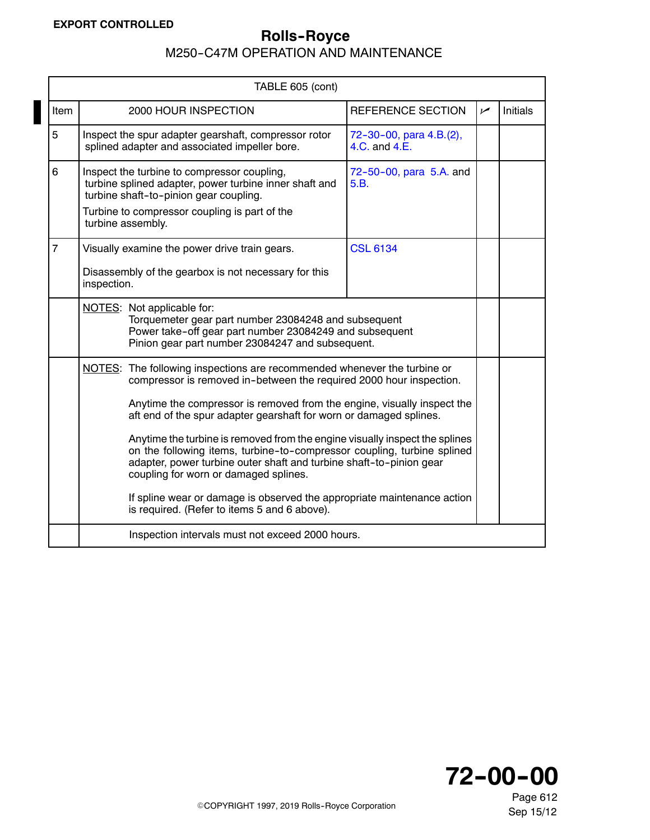|                | TABLE 605 (cont)                                                                                                                                                                                                                                                                                                                                                                                                                                                                                                                                                                                                                                                                                      |                                                                                                                                                                                                  |                                          |           |                 |
|----------------|-------------------------------------------------------------------------------------------------------------------------------------------------------------------------------------------------------------------------------------------------------------------------------------------------------------------------------------------------------------------------------------------------------------------------------------------------------------------------------------------------------------------------------------------------------------------------------------------------------------------------------------------------------------------------------------------------------|--------------------------------------------------------------------------------------------------------------------------------------------------------------------------------------------------|------------------------------------------|-----------|-----------------|
| Item           |                                                                                                                                                                                                                                                                                                                                                                                                                                                                                                                                                                                                                                                                                                       | 2000 HOUR INSPECTION                                                                                                                                                                             | REFERENCE SECTION                        | $\sqrt{}$ | <b>Initials</b> |
| 5              |                                                                                                                                                                                                                                                                                                                                                                                                                                                                                                                                                                                                                                                                                                       | Inspect the spur adapter gearshaft, compressor rotor<br>splined adapter and associated impeller bore.                                                                                            | 72-30-00, para 4.B.(2),<br>4.C. and 4.E. |           |                 |
| 6              | turbine assembly.                                                                                                                                                                                                                                                                                                                                                                                                                                                                                                                                                                                                                                                                                     | Inspect the turbine to compressor coupling,<br>turbine splined adapter, power turbine inner shaft and<br>turbine shaft-to-pinion gear coupling.<br>Turbine to compressor coupling is part of the | 72-50-00, para 5.A. and<br>5.B.          |           |                 |
| $\overline{7}$ | inspection.                                                                                                                                                                                                                                                                                                                                                                                                                                                                                                                                                                                                                                                                                           | Visually examine the power drive train gears.<br>Disassembly of the gearbox is not necessary for this                                                                                            | <b>CSL 6134</b>                          |           |                 |
|                | NOTES: Not applicable for:<br>Torquemeter gear part number 23084248 and subsequent<br>Power take-off gear part number 23084249 and subsequent<br>Pinion gear part number 23084247 and subsequent.                                                                                                                                                                                                                                                                                                                                                                                                                                                                                                     |                                                                                                                                                                                                  |                                          |           |                 |
|                | NOTES: The following inspections are recommended whenever the turbine or<br>compressor is removed in-between the required 2000 hour inspection.<br>Anytime the compressor is removed from the engine, visually inspect the<br>aft end of the spur adapter gearshaft for worn or damaged splines.<br>Anytime the turbine is removed from the engine visually inspect the splines<br>on the following items, turbine-to-compressor coupling, turbine splined<br>adapter, power turbine outer shaft and turbine shaft-to-pinion gear<br>coupling for worn or damaged splines.<br>If spline wear or damage is observed the appropriate maintenance action<br>is required. (Refer to items 5 and 6 above). |                                                                                                                                                                                                  |                                          |           |                 |
|                | Inspection intervals must not exceed 2000 hours.                                                                                                                                                                                                                                                                                                                                                                                                                                                                                                                                                                                                                                                      |                                                                                                                                                                                                  |                                          |           |                 |

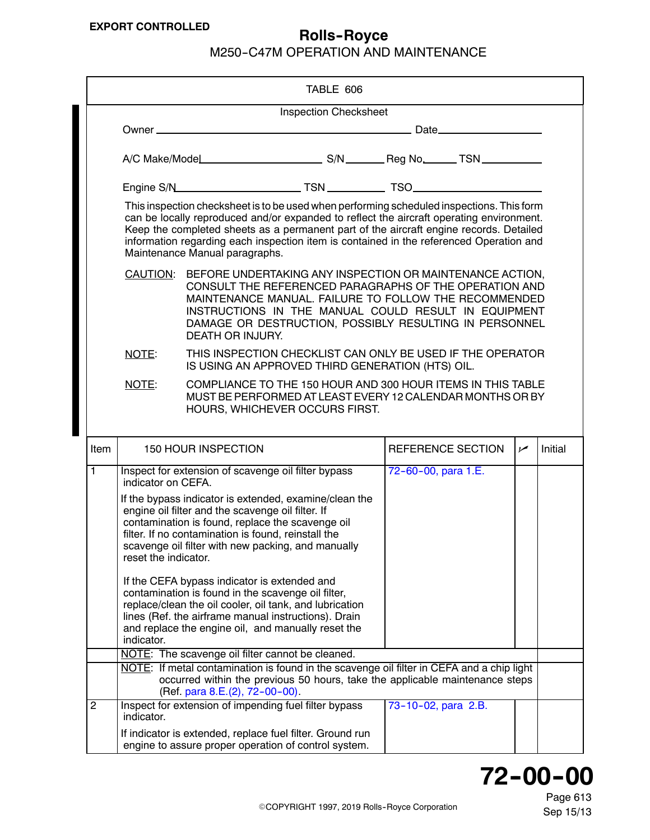<span id="page-6-0"></span>

|                  |                              | TABLE 606                                                                                                                                                                                                                                                                                                                                                                                                    |                     |                |         |  |
|------------------|------------------------------|--------------------------------------------------------------------------------------------------------------------------------------------------------------------------------------------------------------------------------------------------------------------------------------------------------------------------------------------------------------------------------------------------------------|---------------------|----------------|---------|--|
|                  | <b>Inspection Checksheet</b> |                                                                                                                                                                                                                                                                                                                                                                                                              |                     |                |         |  |
|                  |                              |                                                                                                                                                                                                                                                                                                                                                                                                              |                     |                |         |  |
|                  |                              |                                                                                                                                                                                                                                                                                                                                                                                                              |                     |                |         |  |
|                  |                              |                                                                                                                                                                                                                                                                                                                                                                                                              |                     |                |         |  |
|                  |                              | This inspection checksheet is to be used when performing scheduled inspections. This form<br>can be locally reproduced and/or expanded to reflect the aircraft operating environment.<br>Keep the completed sheets as a permanent part of the aircraft engine records. Detailed<br>information regarding each inspection item is contained in the referenced Operation and<br>Maintenance Manual paragraphs. |                     |                |         |  |
|                  |                              | CAUTION: BEFORE UNDERTAKING ANY INSPECTION OR MAINTENANCE ACTION,<br>CONSULT THE REFERENCED PARAGRAPHS OF THE OPERATION AND<br>MAINTENANCE MANUAL. FAILURE TO FOLLOW THE RECOMMENDED<br>INSTRUCTIONS IN THE MANUAL COULD RESULT IN EQUIPMENT<br>DAMAGE OR DESTRUCTION, POSSIBLY RESULTING IN PERSONNEL<br>DEATH OR INJURY.                                                                                   |                     |                |         |  |
|                  | NOTE:                        | THIS INSPECTION CHECKLIST CAN ONLY BE USED IF THE OPERATOR<br>IS USING AN APPROVED THIRD GENERATION (HTS) OIL.                                                                                                                                                                                                                                                                                               |                     |                |         |  |
|                  | NOTE:                        | COMPLIANCE TO THE 150 HOUR AND 300 HOUR ITEMS IN THIS TABLE<br>MUST BE PERFORMED AT LEAST EVERY 12 CALENDAR MONTHS OR BY<br>HOURS, WHICHEVER OCCURS FIRST.                                                                                                                                                                                                                                                   |                     |                |         |  |
| Item             |                              | 150 HOUR INSPECTION                                                                                                                                                                                                                                                                                                                                                                                          | REFERENCE SECTION   | $\overline{v}$ | Initial |  |
| $\overline{1}$   | indicator on CEFA.           | Inspect for extension of scavenge oil filter bypass                                                                                                                                                                                                                                                                                                                                                          | 72-60-00, para 1.E. |                |         |  |
|                  | reset the indicator.         | If the bypass indicator is extended, examine/clean the<br>engine oil filter and the scavenge oil filter. If<br>contamination is found, replace the scavenge oil<br>filter. If no contamination is found, reinstall the<br>scavenge oil filter with new packing, and manually                                                                                                                                 |                     |                |         |  |
|                  | indicator.                   | If the CEFA bypass indicator is extended and<br>contamination is found in the scavenge oil filter,<br>replace/clean the oil cooler, oil tank, and lubrication<br>lines (Ref. the airframe manual instructions). Drain<br>and replace the engine oil, and manually reset the                                                                                                                                  |                     |                |         |  |
|                  |                              | NOTE: The scavenge oil filter cannot be cleaned.                                                                                                                                                                                                                                                                                                                                                             |                     |                |         |  |
|                  |                              | NOTE: If metal contamination is found in the scavenge oil filter in CEFA and a chip light<br>occurred within the previous 50 hours, take the applicable maintenance steps<br>(Ref. para 8.E.(2), 72-00-00).                                                                                                                                                                                                  |                     |                |         |  |
| $\boldsymbol{2}$ | indicator.                   | Inspect for extension of impending fuel filter bypass                                                                                                                                                                                                                                                                                                                                                        | 73-10-02, para 2.B. |                |         |  |
|                  |                              | If indicator is extended, replace fuel filter. Ground run<br>engine to assure proper operation of control system.                                                                                                                                                                                                                                                                                            |                     |                |         |  |

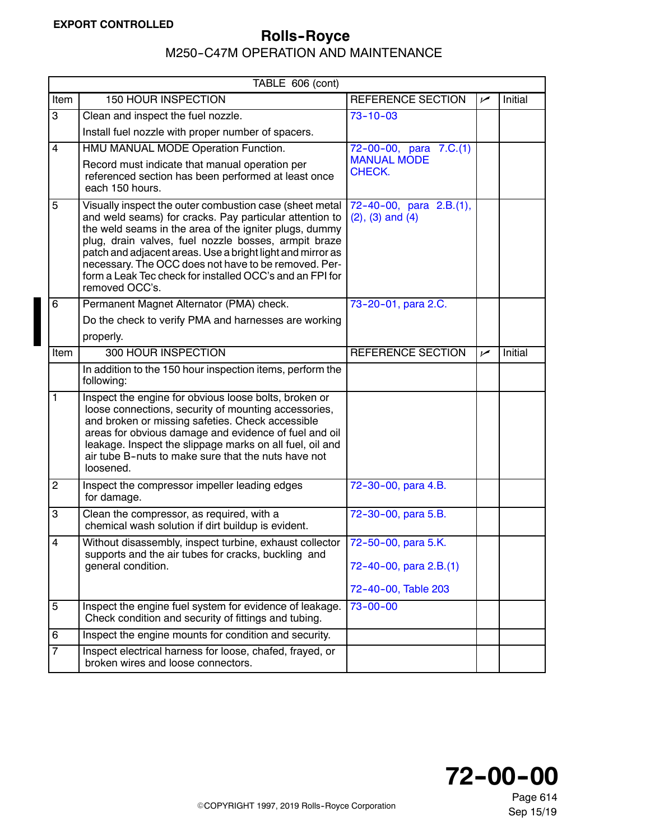<span id="page-7-0"></span>

| TABLE 606 (cont)        |                                                                                                                                                                                                                                                                                                                                                                                                                                          |                                                                      |     |         |  |
|-------------------------|------------------------------------------------------------------------------------------------------------------------------------------------------------------------------------------------------------------------------------------------------------------------------------------------------------------------------------------------------------------------------------------------------------------------------------------|----------------------------------------------------------------------|-----|---------|--|
| Item                    | <b>150 HOUR INSPECTION</b>                                                                                                                                                                                                                                                                                                                                                                                                               | REFERENCE SECTION                                                    | سما | Initial |  |
| 3                       | Clean and inspect the fuel nozzle.                                                                                                                                                                                                                                                                                                                                                                                                       | $73 - 10 - 03$                                                       |     |         |  |
|                         | Install fuel nozzle with proper number of spacers.                                                                                                                                                                                                                                                                                                                                                                                       |                                                                      |     |         |  |
| $\overline{\mathbf{4}}$ | HMU MANUAL MODE Operation Function.                                                                                                                                                                                                                                                                                                                                                                                                      | 72-00-00, para 7.C.(1)                                               |     |         |  |
|                         | Record must indicate that manual operation per<br>referenced section has been performed at least once<br>each 150 hours.                                                                                                                                                                                                                                                                                                                 | <b>MANUAL MODE</b><br>CHECK.                                         |     |         |  |
| 5                       | Visually inspect the outer combustion case (sheet metal<br>and weld seams) for cracks. Pay particular attention to<br>the weld seams in the area of the igniter plugs, dummy<br>plug, drain valves, fuel nozzle bosses, armpit braze<br>patch and adjacent areas. Use a bright light and mirror as<br>necessary. The OCC does not have to be removed. Per-<br>form a Leak Tec check for installed OCC's and an FPI for<br>removed OCC's. | 72-40-00, para 2.B.(1),<br>$(2)$ , $(3)$ and $(4)$                   |     |         |  |
| 6                       | Permanent Magnet Alternator (PMA) check.                                                                                                                                                                                                                                                                                                                                                                                                 | 73-20-01, para 2.C.                                                  |     |         |  |
|                         | Do the check to verify PMA and harnesses are working                                                                                                                                                                                                                                                                                                                                                                                     |                                                                      |     |         |  |
|                         | properly.                                                                                                                                                                                                                                                                                                                                                                                                                                |                                                                      |     |         |  |
| Item                    | 300 HOUR INSPECTION                                                                                                                                                                                                                                                                                                                                                                                                                      | REFERENCE SECTION                                                    | سما | Initial |  |
|                         | In addition to the 150 hour inspection items, perform the<br>following:                                                                                                                                                                                                                                                                                                                                                                  |                                                                      |     |         |  |
| 1                       | Inspect the engine for obvious loose bolts, broken or<br>loose connections, security of mounting accessories,<br>and broken or missing safeties. Check accessible<br>areas for obvious damage and evidence of fuel and oil<br>leakage. Inspect the slippage marks on all fuel, oil and<br>air tube B-nuts to make sure that the nuts have not<br>loosened.                                                                               |                                                                      |     |         |  |
| $\overline{c}$          | Inspect the compressor impeller leading edges<br>for damage.                                                                                                                                                                                                                                                                                                                                                                             | 72-30-00, para 4.B.                                                  |     |         |  |
| 3                       | Clean the compressor, as required, with a<br>chemical wash solution if dirt buildup is evident.                                                                                                                                                                                                                                                                                                                                          | 72-30-00, para 5.B.                                                  |     |         |  |
| $\overline{\mathbf{4}}$ | Without disassembly, inspect turbine, exhaust collector<br>supports and the air tubes for cracks, buckling and<br>general condition.                                                                                                                                                                                                                                                                                                     | 72-50-00, para 5.K.<br>72-40-00, para 2.B.(1)<br>72-40-00, Table 203 |     |         |  |
| 5                       | Inspect the engine fuel system for evidence of leakage.<br>Check condition and security of fittings and tubing.                                                                                                                                                                                                                                                                                                                          | $73 - 00 - 00$                                                       |     |         |  |
| 6                       | Inspect the engine mounts for condition and security.                                                                                                                                                                                                                                                                                                                                                                                    |                                                                      |     |         |  |
| $\overline{7}$          | Inspect electrical harness for loose, chafed, frayed, or<br>broken wires and loose connectors.                                                                                                                                                                                                                                                                                                                                           |                                                                      |     |         |  |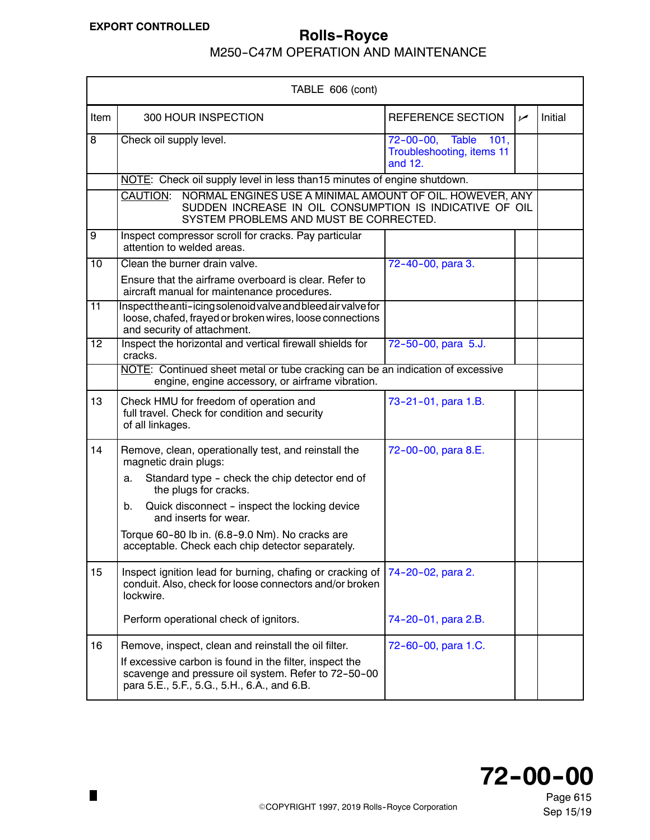$\blacksquare$ 

# **EXPORT CONTROLLED Rolls-Royce**

M250-C47M OPERATION AND MAINTENANCE

| TABLE 606 (cont) |                                                                                                                                                                           |                                                                 |     |         |
|------------------|---------------------------------------------------------------------------------------------------------------------------------------------------------------------------|-----------------------------------------------------------------|-----|---------|
| Item             | 300 HOUR INSPECTION                                                                                                                                                       | REFERENCE SECTION                                               | سما | Initial |
| $\overline{8}$   | Check oil supply level.                                                                                                                                                   | 72-00-00, Table<br>101,<br>Troubleshooting, items 11<br>and 12. |     |         |
|                  | NOTE: Check oil supply level in less than15 minutes of engine shutdown.                                                                                                   |                                                                 |     |         |
|                  | CAUTION:<br>NORMAL ENGINES USE A MINIMAL AMOUNT OF OIL. HOWEVER, ANY<br>SUDDEN INCREASE IN OIL CONSUMPTION IS INDICATIVE OF OIL<br>SYSTEM PROBLEMS AND MUST BE CORRECTED. |                                                                 |     |         |
| 9                | Inspect compressor scroll for cracks. Pay particular<br>attention to welded areas.                                                                                        |                                                                 |     |         |
| 10               | Clean the burner drain valve.                                                                                                                                             | 72-40-00, para 3.                                               |     |         |
|                  | Ensure that the airframe overboard is clear. Refer to<br>aircraft manual for maintenance procedures.                                                                      |                                                                 |     |         |
| 11               | Inspectthe anti-icing solenoid valve and bleed air valve for<br>loose, chafed, frayed or broken wires, loose connections<br>and security of attachment.                   |                                                                 |     |         |
| $\overline{12}$  | Inspect the horizontal and vertical firewall shields for<br>cracks.                                                                                                       | 72-50-00, para 5.J.                                             |     |         |
|                  | NOTE: Continued sheet metal or tube cracking can be an indication of excessive<br>engine, engine accessory, or airframe vibration.                                        |                                                                 |     |         |
| 13               | Check HMU for freedom of operation and<br>full travel. Check for condition and security<br>of all linkages.                                                               | 73-21-01, para 1.B.                                             |     |         |
| 14               | Remove, clean, operationally test, and reinstall the<br>magnetic drain plugs:                                                                                             | 72-00-00, para 8.E.                                             |     |         |
|                  | Standard type - check the chip detector end of<br>a.<br>the plugs for cracks.                                                                                             |                                                                 |     |         |
|                  | Quick disconnect - inspect the locking device<br>b.<br>and inserts for wear.                                                                                              |                                                                 |     |         |
|                  | Torque 60-80 lb in. (6.8-9.0 Nm). No cracks are<br>acceptable. Check each chip detector separately.                                                                       |                                                                 |     |         |
| 15               | Inspect ignition lead for burning, chafing or cracking of<br>conduit. Also, check for loose connectors and/or broken<br>lockwire.                                         | 74-20-02, para 2.                                               |     |         |
|                  | Perform operational check of ignitors.                                                                                                                                    | 74-20-01, para 2.B.                                             |     |         |
| 16               | Remove, inspect, clean and reinstall the oil filter.                                                                                                                      | 72-60-00, para 1.C.                                             |     |         |
|                  | If excessive carbon is found in the filter, inspect the<br>scavenge and pressure oil system. Refer to 72-50-00<br>para 5.E., 5.F., 5.G., 5.H., 6.A., and 6.B.             |                                                                 |     |         |



©COPYRIGHT 1997, 2019 Rolls-Royce Corporation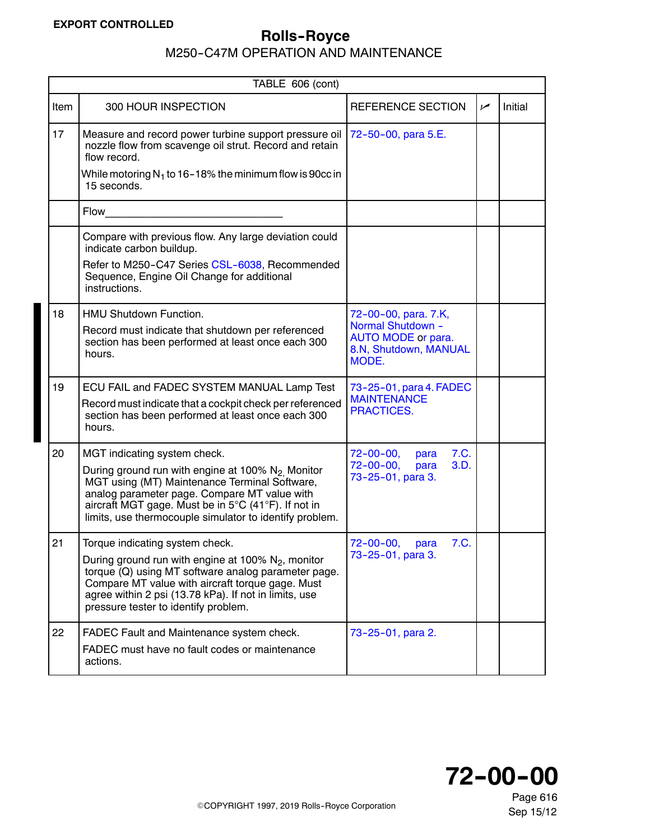### <span id="page-9-0"></span>**EXPORT CONTROLLED**

### **Rolls--Royce**

|             | TABLE 606 (cont)                                                                                                                                                                                                                                                                                                |                                                                                                          |     |         |  |
|-------------|-----------------------------------------------------------------------------------------------------------------------------------------------------------------------------------------------------------------------------------------------------------------------------------------------------------------|----------------------------------------------------------------------------------------------------------|-----|---------|--|
| <b>Item</b> | 300 HOUR INSPECTION                                                                                                                                                                                                                                                                                             | REFERENCE SECTION                                                                                        | سما | Initial |  |
| 17          | Measure and record power turbine support pressure oil<br>nozzle flow from scavenge oil strut. Record and retain<br>flow record.                                                                                                                                                                                 | 72-50-00, para 5.E.                                                                                      |     |         |  |
|             | While motoring $N_1$ to 16–18% the minimum flow is 90cc in<br>15 seconds.                                                                                                                                                                                                                                       |                                                                                                          |     |         |  |
|             | Flow                                                                                                                                                                                                                                                                                                            |                                                                                                          |     |         |  |
|             | Compare with previous flow. Any large deviation could<br>indicate carbon buildup.                                                                                                                                                                                                                               |                                                                                                          |     |         |  |
|             | Refer to M250-C47 Series CSL-6038, Recommended<br>Sequence, Engine Oil Change for additional<br>instructions.                                                                                                                                                                                                   |                                                                                                          |     |         |  |
| 18          | <b>HMU Shutdown Function.</b><br>Record must indicate that shutdown per referenced<br>section has been performed at least once each 300<br>hours.                                                                                                                                                               | 72-00-00, para. 7.K,<br>Normal Shutdown -<br><b>AUTO MODE or para.</b><br>8.N, Shutdown, MANUAL<br>MODE. |     |         |  |
| 19          | ECU FAIL and FADEC SYSTEM MANUAL Lamp Test<br>Record must indicate that a cockpit check per referenced<br>section has been performed at least once each 300<br>hours.                                                                                                                                           | 73-25-01, para 4. FADEC<br><b>MAINTENANCE</b><br><b>PRACTICES.</b>                                       |     |         |  |
| 20          | MGT indicating system check.<br>During ground run with engine at 100% N <sub>2</sub> Monitor<br>MGT using (MT) Maintenance Terminal Software,<br>analog parameter page. Compare MT value with<br>aircraft MGT gage. Must be in 5°C (41°F). If not in<br>limits, use thermocouple simulator to identify problem. | $72 - 00 - 00,$<br>7.C.<br>para<br>$72 - 00 - 00$ ,<br>3.D.<br>para<br>73-25-01, para 3.                 |     |         |  |
| 21          | Torque indicating system check.<br>During ground run with engine at 100% $N_2$ , monitor<br>torque (Q) using MT software analog parameter page.<br>Compare MT value with aircraft torque gage. Must<br>agree within 2 psi (13.78 kPa). If not in limits, use<br>pressure tester to identify problem.            | 7.C.<br>$72 - 00 - 00$<br>para<br>73-25-01, para 3.                                                      |     |         |  |
| 22          | FADEC Fault and Maintenance system check.<br>FADEC must have no fault codes or maintenance<br>actions.                                                                                                                                                                                                          | 73-25-01, para 2.                                                                                        |     |         |  |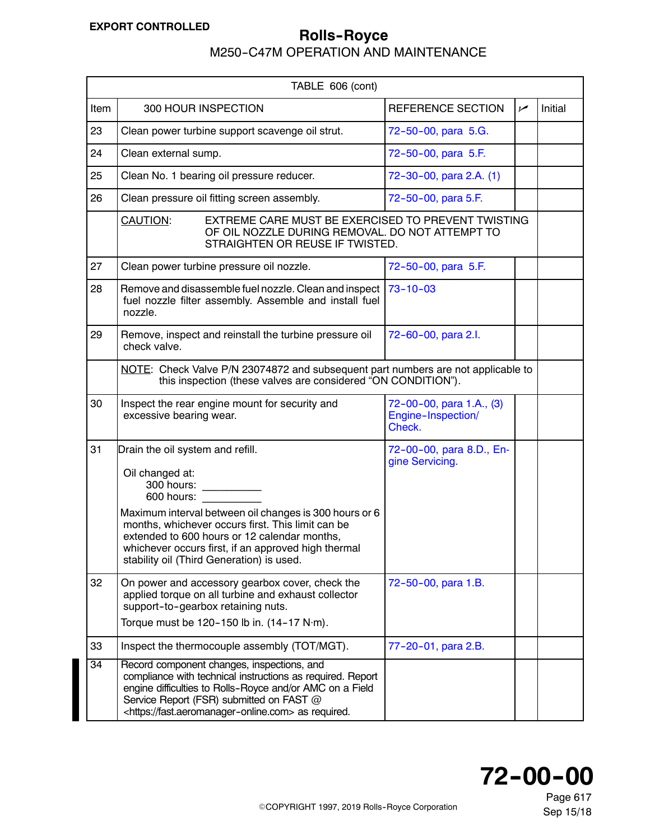# <span id="page-10-0"></span>**EXPORT CONTROLLED ROLLED** Rolls-Royce

|                                                                                                                                                   | TABLE 606 (cont)                                                                                                                                                                                                                                                                                                                                   |                                                          |     |         |  |
|---------------------------------------------------------------------------------------------------------------------------------------------------|----------------------------------------------------------------------------------------------------------------------------------------------------------------------------------------------------------------------------------------------------------------------------------------------------------------------------------------------------|----------------------------------------------------------|-----|---------|--|
| Item                                                                                                                                              | 300 HOUR INSPECTION                                                                                                                                                                                                                                                                                                                                | REFERENCE SECTION                                        | سما | Initial |  |
| 23                                                                                                                                                | Clean power turbine support scavenge oil strut.                                                                                                                                                                                                                                                                                                    | 72-50-00, para 5.G.                                      |     |         |  |
| 24                                                                                                                                                | Clean external sump.                                                                                                                                                                                                                                                                                                                               | 72-50-00, para 5.F.                                      |     |         |  |
| 25                                                                                                                                                | Clean No. 1 bearing oil pressure reducer.                                                                                                                                                                                                                                                                                                          | 72-30-00, para 2.A. (1)                                  |     |         |  |
| 26                                                                                                                                                | Clean pressure oil fitting screen assembly.                                                                                                                                                                                                                                                                                                        | 72-50-00, para 5.F.                                      |     |         |  |
|                                                                                                                                                   | EXTREME CARE MUST BE EXERCISED TO PREVENT TWISTING<br>CAUTION:<br>OF OIL NOZZLE DURING REMOVAL. DO NOT ATTEMPT TO<br>STRAIGHTEN OR REUSE IF TWISTED.                                                                                                                                                                                               |                                                          |     |         |  |
| 27                                                                                                                                                | Clean power turbine pressure oil nozzle.                                                                                                                                                                                                                                                                                                           | 72-50-00, para 5.F.                                      |     |         |  |
| 28                                                                                                                                                | Remove and disassemble fuel nozzle. Clean and inspect<br>fuel nozzle filter assembly. Assemble and install fuel<br>nozzle.                                                                                                                                                                                                                         | $73 - 10 - 03$                                           |     |         |  |
| 29                                                                                                                                                | Remove, inspect and reinstall the turbine pressure oil<br>check valve.                                                                                                                                                                                                                                                                             | 72-60-00, para 2.l.                                      |     |         |  |
| NOTE: Check Valve P/N 23074872 and subsequent part numbers are not applicable to<br>this inspection (these valves are considered "ON CONDITION"). |                                                                                                                                                                                                                                                                                                                                                    |                                                          |     |         |  |
| 30                                                                                                                                                | Inspect the rear engine mount for security and<br>excessive bearing wear.                                                                                                                                                                                                                                                                          | 72-00-00, para 1.A., (3)<br>Engine-Inspection/<br>Check. |     |         |  |
| 31                                                                                                                                                | Drain the oil system and refill.<br>Oil changed at:<br>300 hours:<br>600 hours:<br>Maximum interval between oil changes is 300 hours or 6<br>months, whichever occurs first. This limit can be<br>extended to 600 hours or 12 calendar months,<br>whichever occurs first, if an approved high thermal<br>stability oil (Third Generation) is used. | 72-00-00, para 8.D., En-<br>gine Servicing.              |     |         |  |
| 32                                                                                                                                                | On power and accessory gearbox cover, check the<br>applied torque on all turbine and exhaust collector<br>support-to-gearbox retaining nuts.<br>Torque must be $120 - 150$ lb in. $(14 - 17 \text{ N} \cdot \text{m})$ .                                                                                                                           | 72-50-00, para 1.B.                                      |     |         |  |
| 33                                                                                                                                                | Inspect the thermocouple assembly (TOT/MGT).                                                                                                                                                                                                                                                                                                       | 77-20-01, para 2.B.                                      |     |         |  |
| $\overline{34}$                                                                                                                                   | Record component changes, inspections, and<br>compliance with technical instructions as required. Report<br>engine difficulties to Rolls-Royce and/or AMC on a Field<br>Service Report (FSR) submitted on FAST @<br><https: fast.aeromanager-online.com=""> as required.</https:>                                                                  |                                                          |     |         |  |